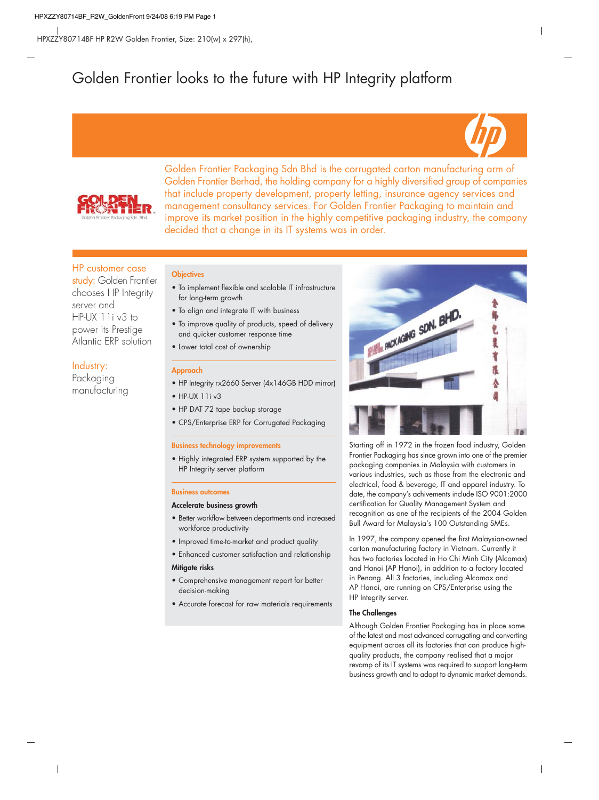# Golden Frontier looks to the future with HP Integrity platform





Golden Frontier Packaging Sdn Bhd is the corrugated carton manufacturing arm of Golden Frontier Berhad, the holding company for a highly diversified group of companies that include property development, property letting, insurance agency services and management consultancy services. For Golden Frontier Packaging to maintain and improve its market position in the highly competitive packaging industry, the company decided that a change in its IT systems was in order.

# HP customer case

study: Golden Frontier chooses HP Integrity server and  $HP-UX 11iv3 to$ power its Prestige Atlantic ERP solution

# Industry:

Packaging manufacturing

## **Objectives**

- To implement flexible and scalable IT infrastructure for long-term growth
- To align and integrate IT with business
- To improve quality of products, speed of delivery and quicker customer response time
- Lower total cost of ownership

## **Approach**

- HP Integrity rx2660 Server (4x146GB HDD mirror)
- $\bullet$  HP-UX 11i v3
- HP DAT 72 tape backup storage
- CPS/Enterprise ERP for Corrugated Packaging

#### **Business technology improvements**

• Highly integrated ERP system supported by the HP Integrity server platform

#### **Business outcomes**

#### **Accelerate business growth**

- Better workflow between departments and increased workforce productivity
- Improved time-to-market and product quality
- Enhanced customer satisfaction and relationship

#### **Mitigate risks**

- Comprehensive management report for better decision-making
- Accurate forecast for raw materials requirements



Starting off in 1972 in the frozen food industry, Golden Frontier Packaging has since grown into one of the premier packaging companies in Malaysia with customers in various industries, such as those from the electronic and electrical, food & beverage, IT and apparel industry. To date, the company's achivements include ISO 9001:2000 certification for Quality Management System and recognition as one of the recipients of the 2004 Golden Bull Award for Malaysia's 100 Outstanding SMEs.

In 1997, the company opened the first Malaysian-owned carton manufacturing factory in Vietnam. Currently it has two factories located in Ho Chi Minh City (Alcamax) and Hanoi (AP Hanoi), in addition to a factory located in Penang. All 3 factories, including Alcamax and AP Hanoi, are running on CPS/Enterprise using the HP Integrity server.

## **The Challenges**

Although Golden Frontier Packaging has in place some of the latest and most advanced corrugating and converting equipment across all its factories that can produce highquality products, the company realised that a major revamp of its IT systems was required to support long-term business growth and to adapt to dynamic market demands.